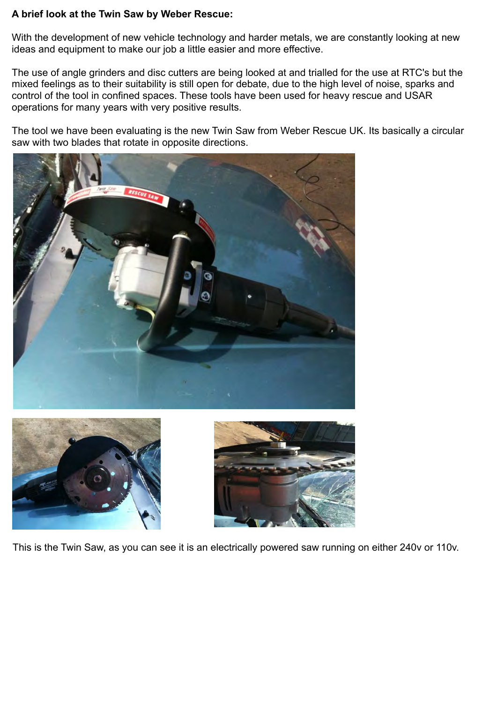## **A brief look at the Twin Saw by Weber Rescue:**

With the development of new vehicle technology and harder metals, we are constantly looking at new ideas and equipment to make our job a little easier and more effective.

The use of angle grinders and disc cutters are being looked at and trialled for the use at RTC's but the mixed feelings as to their suitability is still open for debate, due to the high level of noise, sparks and control of the tool in confined spaces. These tools have been used for heavy rescue and USAR operations for many years with very positive results.

The tool we have been evaluating is the new Twin Saw from Weber Rescue UK. Its basically a circular saw with two blades that rotate in opposite directions.







This is the Twin Saw, as you can see it is an electrically powered saw running on either 240v or 110v.